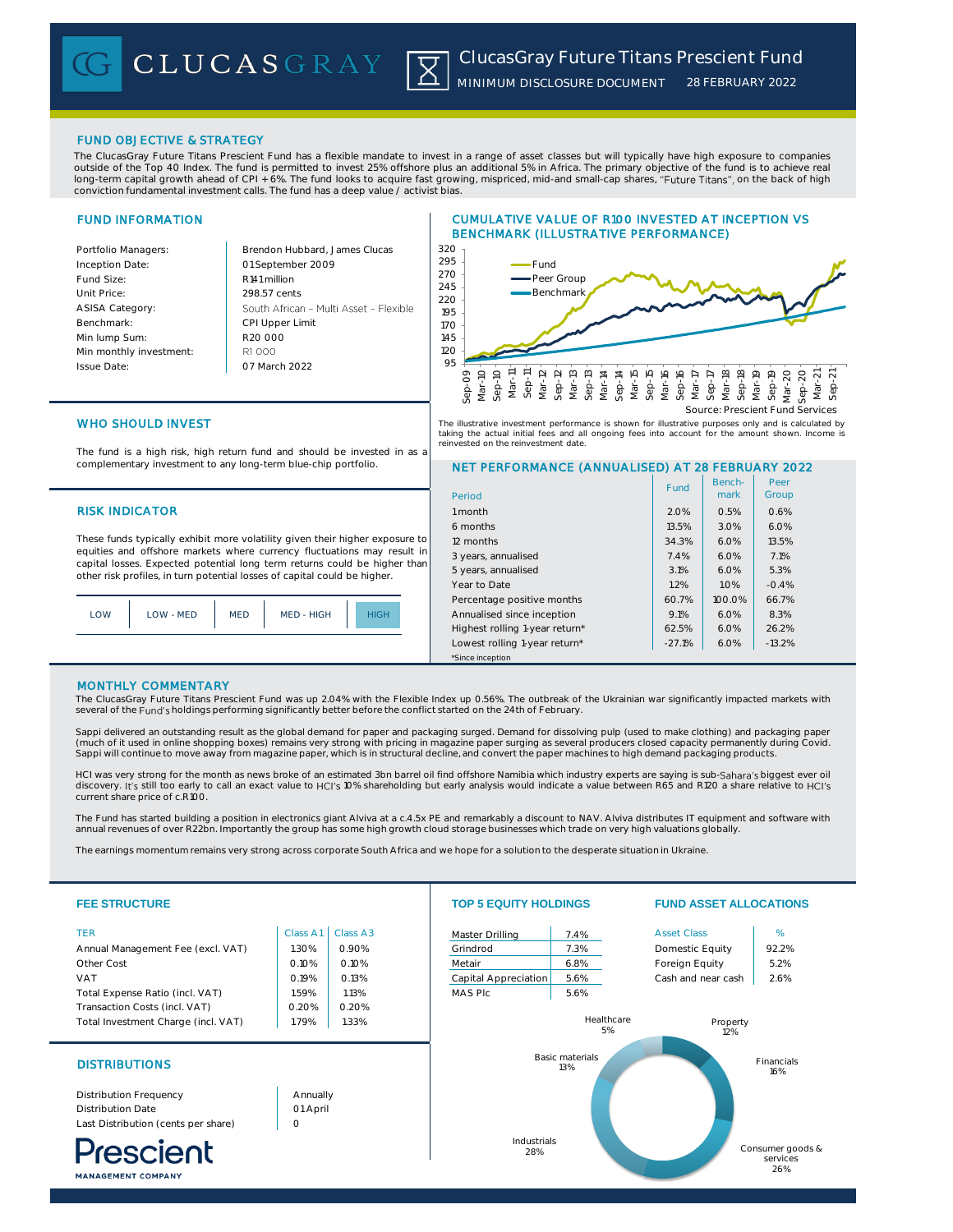FUND OBJECTIVE & STRATEGY

The ClucasGray Future Titans Prescient Fund has a flexible mandate to invest in a range of asset classes but will typically have high exposure to companies outside of the Top 40 Index. The fund is permitted to invest 25% offshore plus an additional 5% in Africa. The primary objective of the fund is to achieve real long-term capital growth ahead of CPI + 6%. The fund looks to acquire fast growing, mispriced, mid-and small-cap shares, "Future Titans", on the back of high conviction fundamental investment calls. The fund has a deep value / activist bias.

## FUND INFORMATION

Inception Date: Fund Size: R141 million Unit Price: 298.57 cents ASISA Category: Benchmark: Min lump Sum: Min monthly investment: R1 000 Issue Date:

Portfolio Managers: **Brendon Hubbard, James Clucas** 01 September 2009 South African - Multi Asset - Flexible CPI Upper Limit R20 000 07 March 2022 95

## CUMULATIVE VALUE OF R100 INVESTED AT INCEPTION VS BENCHMARK (ILLUSTRATIVE PERFORMANCE)



The illustrative investment performance is shown for illustrative purposes only and is calculated by taking the actual initial fees and all ongoing fees into account for the amount shown. Income is<br>reinvested on the reinvestment data refer on the reinvestment date.

## WHO SHOULD INVEST

The fund is a high risk, high return fund and should be invested in as a complementary investment to any long-term blue-chip portfolio.

## **RISK INDICATOR**

These funds typically exhibit more volatility given their higher exposure to equities and offshore markets where currency fluctuations may result in capital losses. Expected potential long term returns could be higher than other risk profiles, in turn potential losses of capital could be higher.

| MED - HIGH<br>LOW - MED<br><b>MED</b><br><b>OW</b> |  |
|----------------------------------------------------|--|
|----------------------------------------------------|--|

# NET PERFORMANCE (ANNUALISED) AT 28 FEBRUARY 2022

| Period                         | Fund     | Bench-<br>mark | Peer<br>Group |  |
|--------------------------------|----------|----------------|---------------|--|
| 1 month                        | 2.0%     | 0.5%           | 0.6%          |  |
| 6 months                       | 13.5%    | 3.0%           | 6.0%          |  |
| 12 months                      | 34.3%    | 6.0%           | 13.5%         |  |
| 3 years, annualised            | 7.4%     | 6.0%           | 7.1%          |  |
| 5 years, annualised            | 3.1%     | 6.0%           | 5.3%          |  |
| Year to Date                   | 1.2%     | 1.0%           | $-0.4%$       |  |
| Percentage positive months     | 60.7%    | 100.0%         | 66.7%         |  |
| Annualised since inception     | 9.1%     | 6.0%           | 8.3%          |  |
| Highest rolling 1-year return* | 62.5%    | 6.0%           | 26.2%         |  |
| Lowest rolling 1-year return*  | $-27.1%$ | 6.0%           | $-13.2%$      |  |
| *Since inception               |          |                |               |  |

## MONTHLY COMMENTARY

The ClucasGray Future Titans Prescient Fund was up 2.04% with the Flexible Index up 0.56%. The outbreak of the Ukrainian war significantly impacted markets with several of the Fund's holdings performing significantly better before the conflict started on the 24th of February

Sappi delivered an outstanding result as the global demand for paper and packaging surged. Demand for dissolving pulp (used to make clothing) and packaging paper (much of it used in online shopping boxes) remains very strong with pricing in magazine paper surging as several producers closed capacity permanently during Covid. Sappi will continue to move away from magazine paper, which is in structural decline, and convert the paper machines to high demand packaging products.

HCI was very strong for the month as news broke of an estimated 3bn barrel oil find offshore Namibia which industry experts are saying is sub-Sahara's biggest ever oil<br>discovery. It's still too early to call an exact value current share price of c.R100.

The Fund has started building a position in electronics giant Alviva at a c.4.5x PE and remarkably a discount to NAV. Alviva distributes IT equipment and software with annual revenues of over R22bn. Importantly the group has some high growth cloud storage businesses which trade on very high valuations globally.

The earnings momentum remains very strong across corporate South Africa and we hope for a solution to the desperate situation in Ukraine.